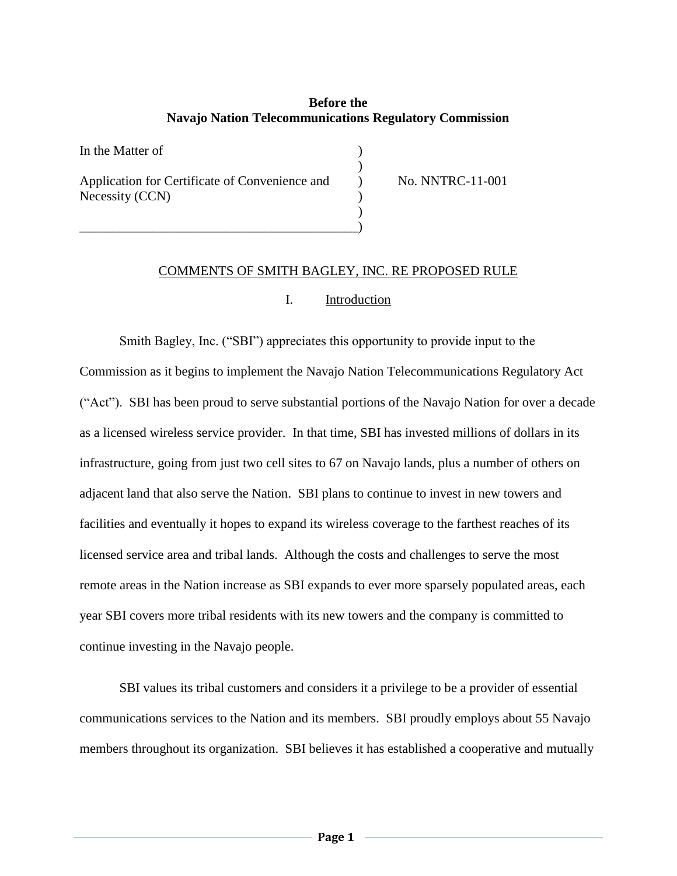# **Before the Navajo Nation Telecommunications Regulatory Commission**

)

)

In the Matter of  $\qquad \qquad$  ) Application for Certificate of Convenience and  $\qquad \qquad$  No. NNTRC-11-001 Necessity (CCN) )

\_\_\_\_\_\_\_\_\_\_\_\_\_\_\_\_\_\_\_\_\_\_\_\_\_\_\_\_\_\_\_\_\_\_\_\_\_\_\_\_\_\_)

## COMMENTS OF SMITH BAGLEY, INC. RE PROPOSED RULE

#### I. Introduction

Smith Bagley, Inc. ("SBI") appreciates this opportunity to provide input to the Commission as it begins to implement the Navajo Nation Telecommunications Regulatory Act ("Act"). SBI has been proud to serve substantial portions of the Navajo Nation for over a decade as a licensed wireless service provider. In that time, SBI has invested millions of dollars in its infrastructure, going from just two cell sites to 67 on Navajo lands, plus a number of others on adjacent land that also serve the Nation. SBI plans to continue to invest in new towers and facilities and eventually it hopes to expand its wireless coverage to the farthest reaches of its licensed service area and tribal lands. Although the costs and challenges to serve the most remote areas in the Nation increase as SBI expands to ever more sparsely populated areas, each year SBI covers more tribal residents with its new towers and the company is committed to continue investing in the Navajo people.

SBI values its tribal customers and considers it a privilege to be a provider of essential communications services to the Nation and its members. SBI proudly employs about 55 Navajo members throughout its organization. SBI believes it has established a cooperative and mutually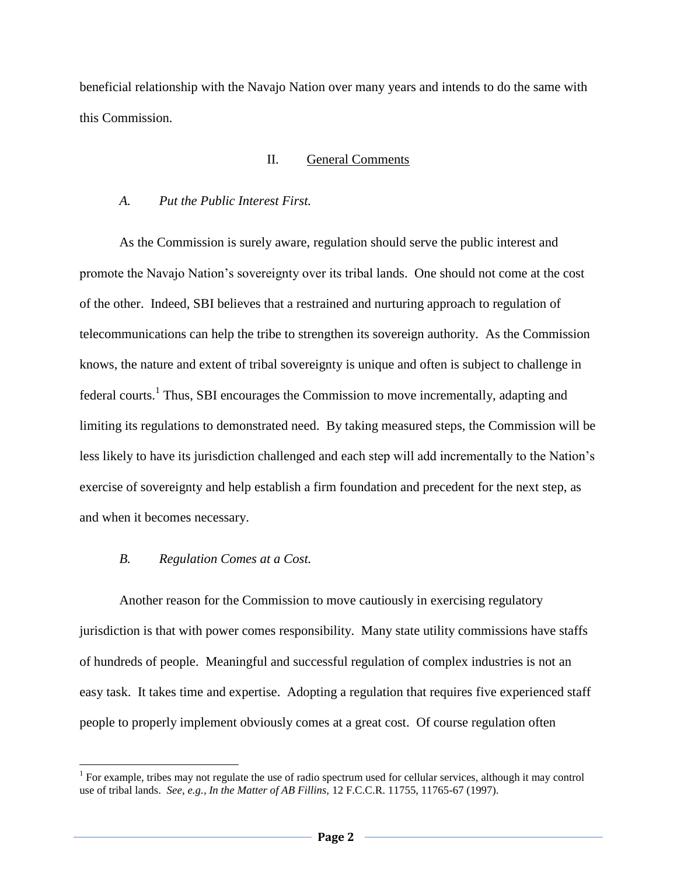beneficial relationship with the Navajo Nation over many years and intends to do the same with this Commission.

### II. General Comments

## *A. Put the Public Interest First.*

As the Commission is surely aware, regulation should serve the public interest and promote the Navajo Nation's sovereignty over its tribal lands. One should not come at the cost of the other. Indeed, SBI believes that a restrained and nurturing approach to regulation of telecommunications can help the tribe to strengthen its sovereign authority. As the Commission knows, the nature and extent of tribal sovereignty is unique and often is subject to challenge in federal courts.<sup>1</sup> Thus, SBI encourages the Commission to move incrementally, adapting and limiting its regulations to demonstrated need. By taking measured steps, the Commission will be less likely to have its jurisdiction challenged and each step will add incrementally to the Nation's exercise of sovereignty and help establish a firm foundation and precedent for the next step, as and when it becomes necessary.

## *B. Regulation Comes at a Cost.*

 $\overline{a}$ 

Another reason for the Commission to move cautiously in exercising regulatory jurisdiction is that with power comes responsibility. Many state utility commissions have staffs of hundreds of people. Meaningful and successful regulation of complex industries is not an easy task. It takes time and expertise. Adopting a regulation that requires five experienced staff people to properly implement obviously comes at a great cost. Of course regulation often

<sup>&</sup>lt;sup>1</sup> For example, tribes may not regulate the use of radio spectrum used for cellular services, although it may control use of tribal lands. *See, e.g., In the Matter of AB Fillins,* 12 F.C.C.R. 11755, 11765-67 (1997).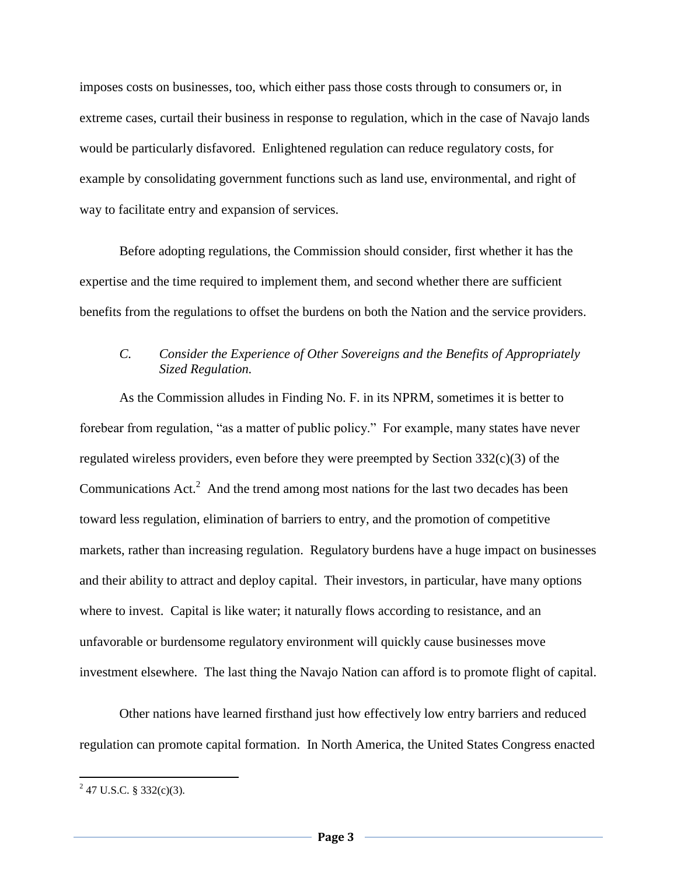imposes costs on businesses, too, which either pass those costs through to consumers or, in extreme cases, curtail their business in response to regulation, which in the case of Navajo lands would be particularly disfavored. Enlightened regulation can reduce regulatory costs, for example by consolidating government functions such as land use, environmental, and right of way to facilitate entry and expansion of services.

Before adopting regulations, the Commission should consider, first whether it has the expertise and the time required to implement them, and second whether there are sufficient benefits from the regulations to offset the burdens on both the Nation and the service providers.

## *C. Consider the Experience of Other Sovereigns and the Benefits of Appropriately Sized Regulation.*

As the Commission alludes in Finding No. F. in its NPRM, sometimes it is better to forebear from regulation, "as a matter of public policy." For example, many states have never regulated wireless providers, even before they were preempted by Section  $332(c)(3)$  of the Communications  $Act.^2$  And the trend among most nations for the last two decades has been toward less regulation, elimination of barriers to entry, and the promotion of competitive markets, rather than increasing regulation. Regulatory burdens have a huge impact on businesses and their ability to attract and deploy capital. Their investors, in particular, have many options where to invest. Capital is like water; it naturally flows according to resistance, and an unfavorable or burdensome regulatory environment will quickly cause businesses move investment elsewhere. The last thing the Navajo Nation can afford is to promote flight of capital.

Other nations have learned firsthand just how effectively low entry barriers and reduced regulation can promote capital formation. In North America, the United States Congress enacted

 $^{2}$  47 U.S.C. § 332(c)(3).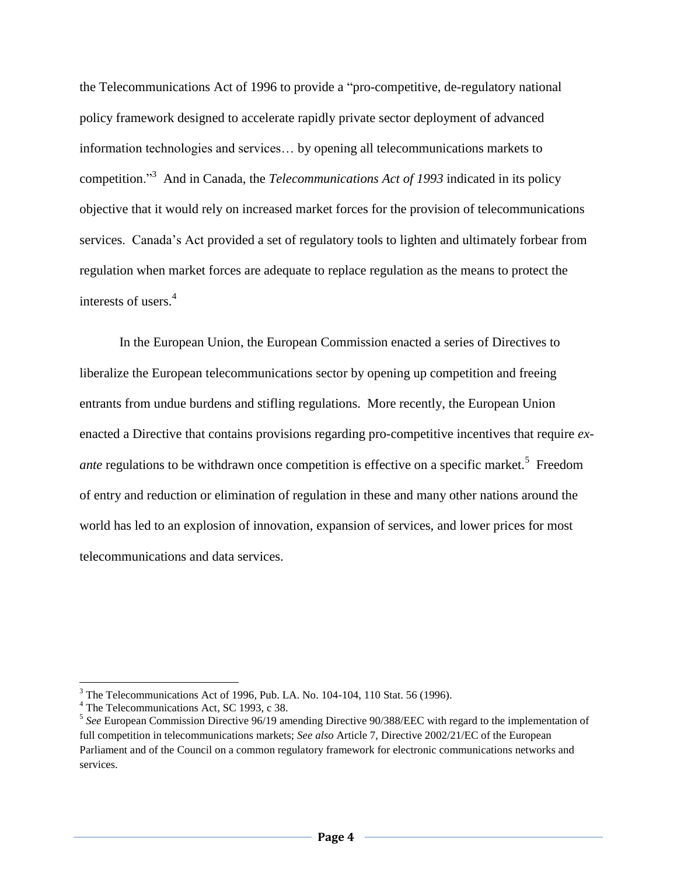the Telecommunications Act of 1996 to provide a "pro-competitive, de-regulatory national policy framework designed to accelerate rapidly private sector deployment of advanced information technologies and services… by opening all telecommunications markets to competition."<sup>3</sup> And in Canada, the *Telecommunications Act of 1993* indicated in its policy objective that it would rely on increased market forces for the provision of telecommunications services. Canada's Act provided a set of regulatory tools to lighten and ultimately forbear from regulation when market forces are adequate to replace regulation as the means to protect the interests of users.<sup>4</sup>

In the European Union, the European Commission enacted a series of Directives to liberalize the European telecommunications sector by opening up competition and freeing entrants from undue burdens and stifling regulations. More recently, the European Union enacted a Directive that contains provisions regarding pro-competitive incentives that require *exante* regulations to be withdrawn once competition is effective on a specific market.<sup>5</sup> Freedom of entry and reduction or elimination of regulation in these and many other nations around the world has led to an explosion of innovation, expansion of services, and lower prices for most telecommunications and data services.

 $\overline{a}$ 

<sup>&</sup>lt;sup>3</sup> The Telecommunications Act of 1996, Pub. LA. No. 104-104, 110 Stat. 56 (1996).

<sup>&</sup>lt;sup>4</sup> The Telecommunications Act, SC 1993, c 38.

<sup>5</sup> *See* European Commission Directive 96/19 amending Directive 90/388/EEC with regard to the implementation of full competition in telecommunications markets; *See also* Article 7, Directive 2002/21/EC of the European Parliament and of the Council on a common regulatory framework for electronic communications networks and services.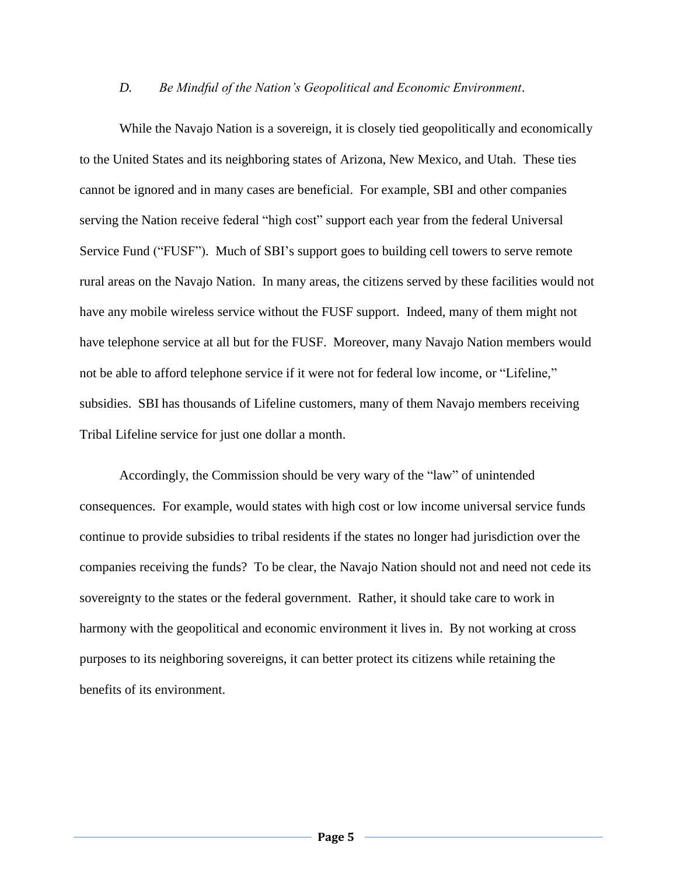#### *D. Be Mindful of the Nation's Geopolitical and Economic Environment*.

While the Navajo Nation is a sovereign, it is closely tied geopolitically and economically to the United States and its neighboring states of Arizona, New Mexico, and Utah. These ties cannot be ignored and in many cases are beneficial. For example, SBI and other companies serving the Nation receive federal "high cost" support each year from the federal Universal Service Fund ("FUSF"). Much of SBI's support goes to building cell towers to serve remote rural areas on the Navajo Nation. In many areas, the citizens served by these facilities would not have any mobile wireless service without the FUSF support. Indeed, many of them might not have telephone service at all but for the FUSF. Moreover, many Navajo Nation members would not be able to afford telephone service if it were not for federal low income, or "Lifeline," subsidies. SBI has thousands of Lifeline customers, many of them Navajo members receiving Tribal Lifeline service for just one dollar a month.

Accordingly, the Commission should be very wary of the "law" of unintended consequences. For example, would states with high cost or low income universal service funds continue to provide subsidies to tribal residents if the states no longer had jurisdiction over the companies receiving the funds? To be clear, the Navajo Nation should not and need not cede its sovereignty to the states or the federal government. Rather, it should take care to work in harmony with the geopolitical and economic environment it lives in. By not working at cross purposes to its neighboring sovereigns, it can better protect its citizens while retaining the benefits of its environment.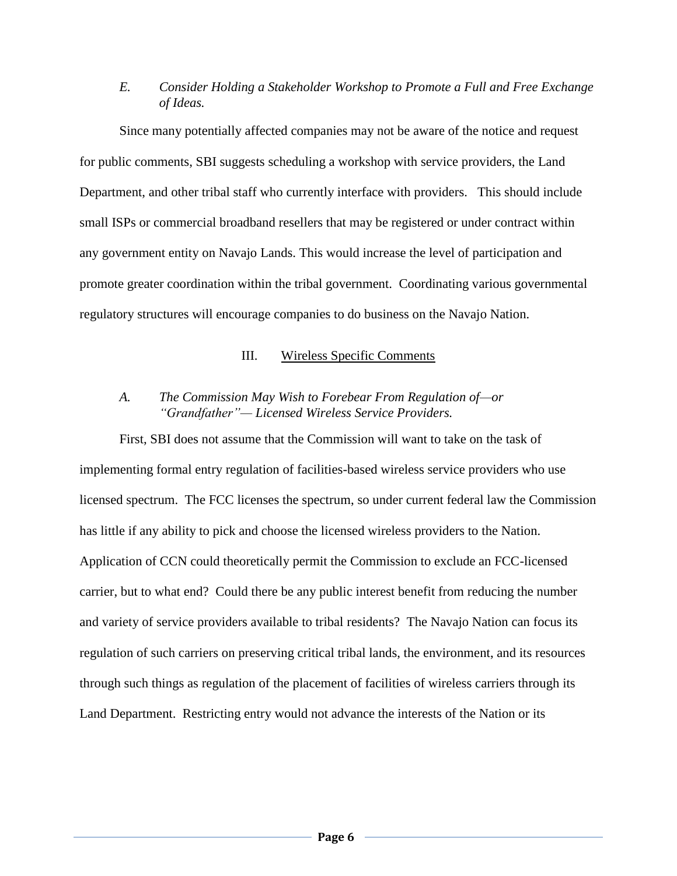# *E. Consider Holding a Stakeholder Workshop to Promote a Full and Free Exchange of Ideas.*

Since many potentially affected companies may not be aware of the notice and request for public comments, SBI suggests scheduling a workshop with service providers, the Land Department, and other tribal staff who currently interface with providers. This should include small ISPs or commercial broadband resellers that may be registered or under contract within any government entity on Navajo Lands. This would increase the level of participation and promote greater coordination within the tribal government. Coordinating various governmental regulatory structures will encourage companies to do business on the Navajo Nation.

## III. Wireless Specific Comments

# *A. The Commission May Wish to Forebear From Regulation of—or "Grandfather"— Licensed Wireless Service Providers.*

First, SBI does not assume that the Commission will want to take on the task of implementing formal entry regulation of facilities-based wireless service providers who use licensed spectrum. The FCC licenses the spectrum, so under current federal law the Commission has little if any ability to pick and choose the licensed wireless providers to the Nation. Application of CCN could theoretically permit the Commission to exclude an FCC-licensed carrier, but to what end? Could there be any public interest benefit from reducing the number and variety of service providers available to tribal residents? The Navajo Nation can focus its regulation of such carriers on preserving critical tribal lands, the environment, and its resources through such things as regulation of the placement of facilities of wireless carriers through its Land Department. Restricting entry would not advance the interests of the Nation or its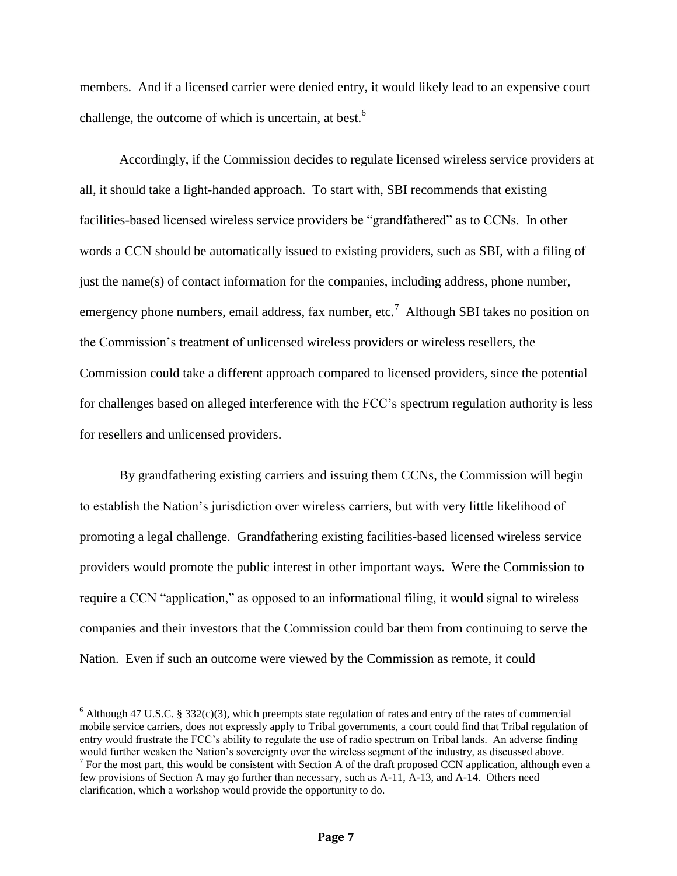members. And if a licensed carrier were denied entry, it would likely lead to an expensive court challenge, the outcome of which is uncertain, at best.<sup>6</sup>

Accordingly, if the Commission decides to regulate licensed wireless service providers at all, it should take a light-handed approach. To start with, SBI recommends that existing facilities-based licensed wireless service providers be "grandfathered" as to CCNs. In other words a CCN should be automatically issued to existing providers, such as SBI, with a filing of just the name(s) of contact information for the companies, including address, phone number, emergency phone numbers, email address, fax number, etc.<sup>7</sup> Although SBI takes no position on the Commission's treatment of unlicensed wireless providers or wireless resellers, the Commission could take a different approach compared to licensed providers, since the potential for challenges based on alleged interference with the FCC's spectrum regulation authority is less for resellers and unlicensed providers.

By grandfathering existing carriers and issuing them CCNs, the Commission will begin to establish the Nation's jurisdiction over wireless carriers, but with very little likelihood of promoting a legal challenge. Grandfathering existing facilities-based licensed wireless service providers would promote the public interest in other important ways. Were the Commission to require a CCN "application," as opposed to an informational filing, it would signal to wireless companies and their investors that the Commission could bar them from continuing to serve the Nation. Even if such an outcome were viewed by the Commission as remote, it could

 $\overline{a}$ 

<sup>&</sup>lt;sup>6</sup> Although 47 U.S.C. § 332(c)(3), which preempts state regulation of rates and entry of the rates of commercial mobile service carriers, does not expressly apply to Tribal governments, a court could find that Tribal regulation of entry would frustrate the FCC's ability to regulate the use of radio spectrum on Tribal lands. An adverse finding would further weaken the Nation's sovereignty over the wireless segment of the industry, as discussed above.  $<sup>7</sup>$  For the most part, this would be consistent with Section A of the draft proposed CCN application, although even a</sup> few provisions of Section A may go further than necessary, such as A-11, A-13, and A-14. Others need

clarification, which a workshop would provide the opportunity to do.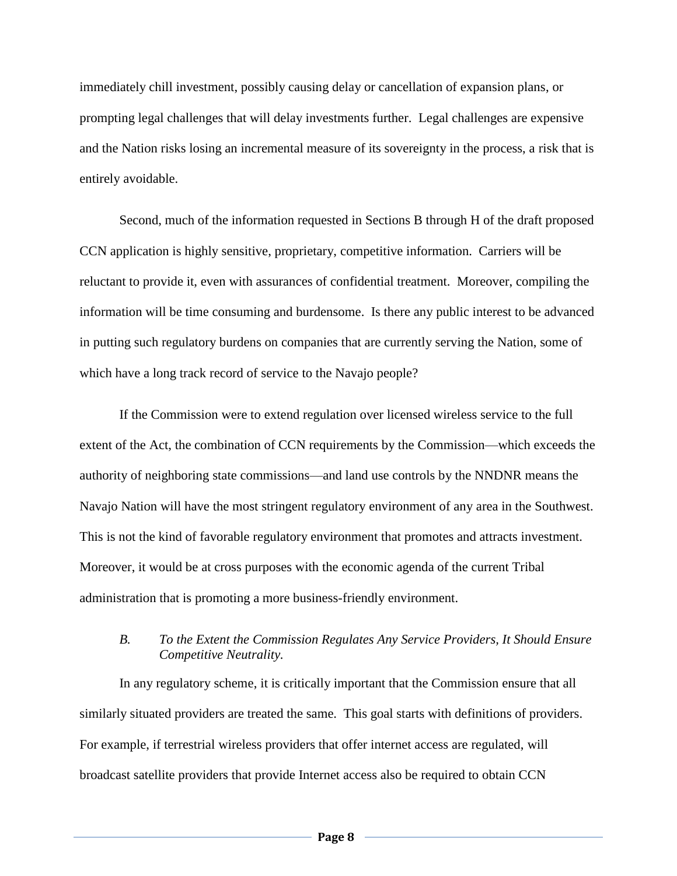immediately chill investment, possibly causing delay or cancellation of expansion plans, or prompting legal challenges that will delay investments further. Legal challenges are expensive and the Nation risks losing an incremental measure of its sovereignty in the process, a risk that is entirely avoidable.

Second, much of the information requested in Sections B through H of the draft proposed CCN application is highly sensitive, proprietary, competitive information. Carriers will be reluctant to provide it, even with assurances of confidential treatment. Moreover, compiling the information will be time consuming and burdensome. Is there any public interest to be advanced in putting such regulatory burdens on companies that are currently serving the Nation, some of which have a long track record of service to the Navajo people?

If the Commission were to extend regulation over licensed wireless service to the full extent of the Act, the combination of CCN requirements by the Commission—which exceeds the authority of neighboring state commissions—and land use controls by the NNDNR means the Navajo Nation will have the most stringent regulatory environment of any area in the Southwest. This is not the kind of favorable regulatory environment that promotes and attracts investment. Moreover, it would be at cross purposes with the economic agenda of the current Tribal administration that is promoting a more business-friendly environment.

## *B. To the Extent the Commission Regulates Any Service Providers, It Should Ensure Competitive Neutrality.*

In any regulatory scheme, it is critically important that the Commission ensure that all similarly situated providers are treated the same. This goal starts with definitions of providers. For example, if terrestrial wireless providers that offer internet access are regulated, will broadcast satellite providers that provide Internet access also be required to obtain CCN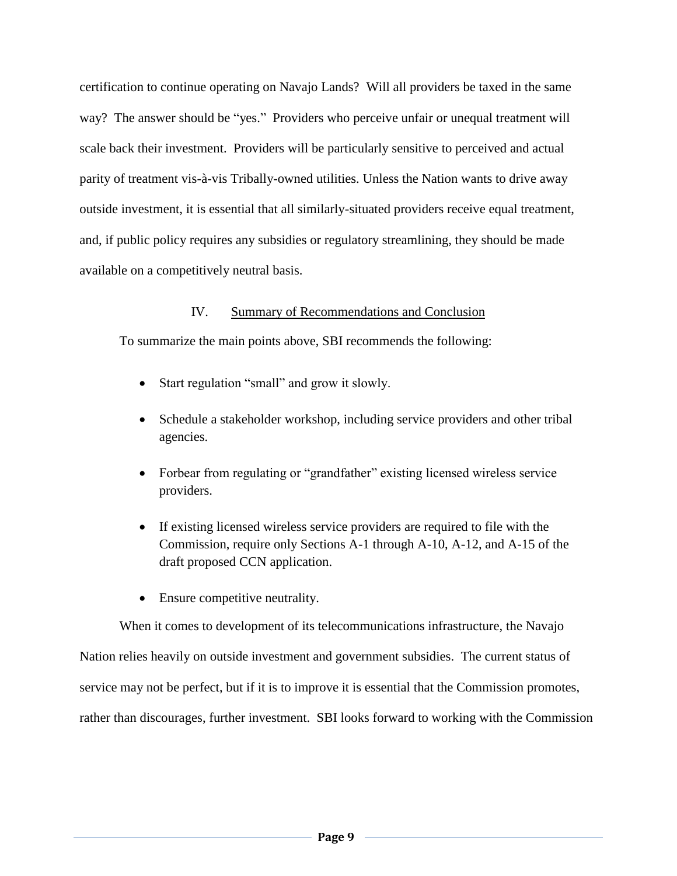certification to continue operating on Navajo Lands? Will all providers be taxed in the same way? The answer should be "yes." Providers who perceive unfair or unequal treatment will scale back their investment. Providers will be particularly sensitive to perceived and actual parity of treatment vis-à-vis Tribally-owned utilities. Unless the Nation wants to drive away outside investment, it is essential that all similarly-situated providers receive equal treatment, and, if public policy requires any subsidies or regulatory streamlining, they should be made available on a competitively neutral basis.

## IV. Summary of Recommendations and Conclusion

To summarize the main points above, SBI recommends the following:

- Start regulation "small" and grow it slowly.
- Schedule a stakeholder workshop, including service providers and other tribal agencies.
- Forbear from regulating or "grandfather" existing licensed wireless service providers.
- If existing licensed wireless service providers are required to file with the Commission, require only Sections A-1 through A-10, A-12, and A-15 of the draft proposed CCN application.
- Ensure competitive neutrality.

When it comes to development of its telecommunications infrastructure, the Navajo Nation relies heavily on outside investment and government subsidies. The current status of service may not be perfect, but if it is to improve it is essential that the Commission promotes, rather than discourages, further investment. SBI looks forward to working with the Commission